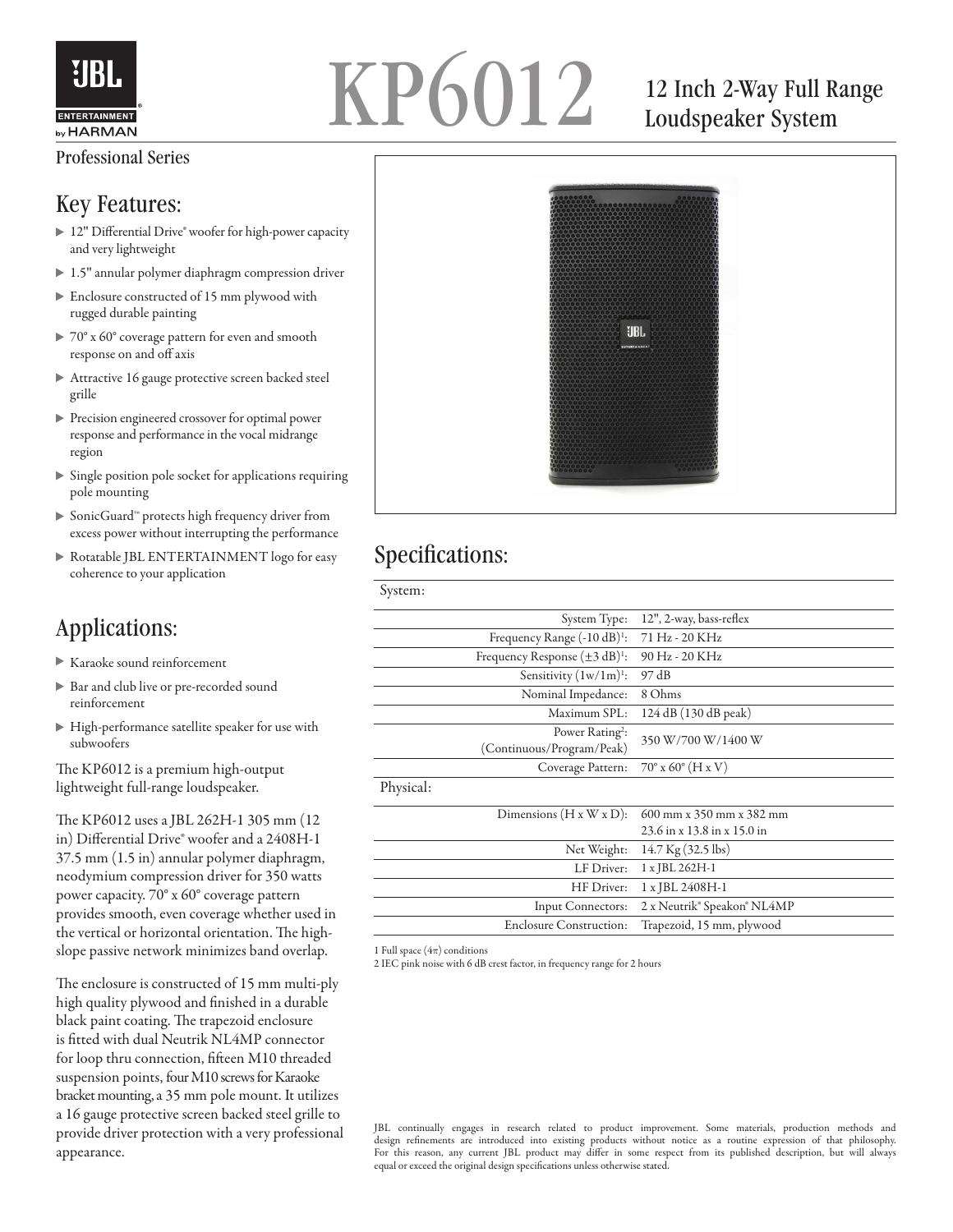

## KP6012 12 Inch 2-Way Full Range

### Loudspeaker System

# UBL.

#### Specifications:

| 12", 2-way, bass-reflex              |
|--------------------------------------|
| 71 Hz - 20 KHz                       |
| 90 Hz - 20 KHz                       |
| 97 dB                                |
| 8 Ohms                               |
| 124 dB (130 dB peak)                 |
| 350 W/700 W/1400 W                   |
| $70^{\circ}$ x 60 $^{\circ}$ (H x V) |
|                                      |
| 600 mm x 350 mm x 382 mm             |
| 23.6 in x 13.8 in x 15.0 in          |
| $14.7$ Kg $(32.5$ lbs)               |
| 1 x JBL 262H-1                       |
| 1 x JBL 2408H-1                      |
| 2 x Neutrik® Speakon® NL4MP          |
| Trapezoid, 15 mm, plywood            |
|                                      |

1 Full space  $(4\pi)$  conditions

2 IEC pink noise with 6 dB crest factor, in frequency range for 2 hours

JBL continually engages in research related to product improvement. Some materials, production methods and design refinements are introduced into existing products without notice as a routine expression of that philosophy. For this reason, any current JBL product may differ in some respect from its published description, but will always equal or exceed the original design specifications unless otherwise stated.

#### Professional Series

#### Key Features:

- ▶ 12" Differential Drive® woofer for high-power capacity and very lightweight
- ▶ 1.5" annular polymer diaphragm compression driver
- Enclosure constructed of 15 mm plywood with rugged durable painting
- ▶ 70° x 60° coverage pattern for even and smooth response on and off axis
- Attractive 16 gauge protective screen backed steel grille
- Precision engineered crossover for optimal power response and performance in the vocal midrange region
- Single position pole socket for applications requiring pole mounting
- SonicGuard™ protects high frequency driver from excess power without interrupting the performance
- Rotatable JBL ENTERTAINMENT logo for easy coherence to your application

#### Applications:

- Karaoke sound reinforcement
- Bar and club live or pre-recorded sound reinforcement
- High-performance satellite speaker for use with subwoofers

The KP6012 is a premium high-output lightweight full-range loudspeaker.

The KP6012 uses a JBL 262H-1 305 mm (12 in) Differential Drive® woofer and a 2408H-1 37.5 mm (1.5 in) annular polymer diaphragm, neodymium compression driver for 350 watts power capacity. 70° x 60° coverage pattern provides smooth, even coverage whether used in the vertical or horizontal orientation. The highslope passive network minimizes band overlap.

The enclosure is constructed of 15 mm multi-ply high quality plywood and finished in a durable black paint coating. The trapezoid enclosure is fitted with dual Neutrik NL4MP connector for loop thru connection, fifteen M10 threaded suspension points, four M10 screws for Karaoke bracket mounting, a 35 mm pole mount. It utilizes a 16 gauge protective screen backed steel grille to provide driver protection with a very professional appearance.